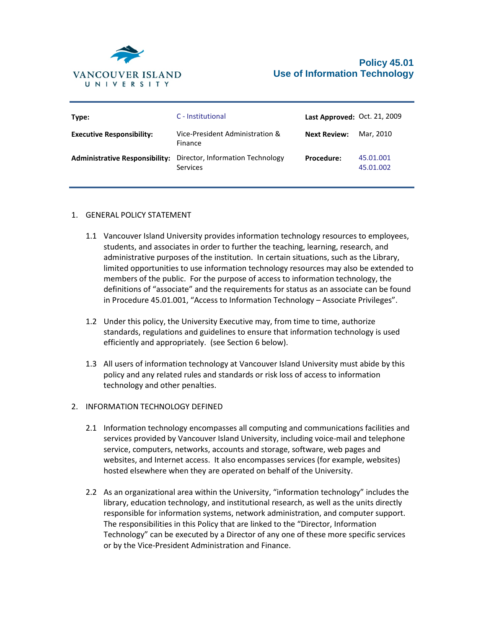

| Type:                                 | C - Institutional                            | Last Approved: Oct. 21, 2009 |                        |
|---------------------------------------|----------------------------------------------|------------------------------|------------------------|
| <b>Executive Responsibility:</b>      | Vice-President Administration &<br>Finance   | <b>Next Review:</b>          | Mar. 2010              |
| <b>Administrative Responsibility:</b> | Director, Information Technology<br>Services | <b>Procedure:</b>            | 45.01.001<br>45.01.002 |

# 1. GENERAL POLICY STATEMENT

- 1.1 Vancouver Island University provides information technology resources to employees, students, and associates in order to further the teaching, learning, research, and administrative purposes of the institution. In certain situations, such as the Library, limited opportunities to use information technology resources may also be extended to members of the public. For the purpose of access to information technology, the definitions of "associate" and the requirements for status as an associate can be found in Procedure 45.01.001, "Access to Information Technology – Associate Privileges".
- 1.2 Under this policy, the University Executive may, from time to time, authorize standards, regulations and guidelines to ensure that information technology is used efficiently and appropriately. (see Section 6 below).
- 1.3 All users of information technology at Vancouver Island University must abide by this policy and any related rules and standards or risk loss of access to information technology and other penalties.

# 2. INFORMATION TECHNOLOGY DEFINED

- 2.1 Information technology encompasses all computing and communications facilities and services provided by Vancouver Island University, including voice-mail and telephone service, computers, networks, accounts and storage, software, web pages and websites, and Internet access. It also encompasses services (for example, websites) hosted elsewhere when they are operated on behalf of the University.
- 2.2 As an organizational area within the University, "information technology" includes the library, education technology, and institutional research, as well as the units directly responsible for information systems, network administration, and computer support. The responsibilities in this Policy that are linked to the "Director, Information Technology" can be executed by a Director of any one of these more specific services or by the Vice-President Administration and Finance.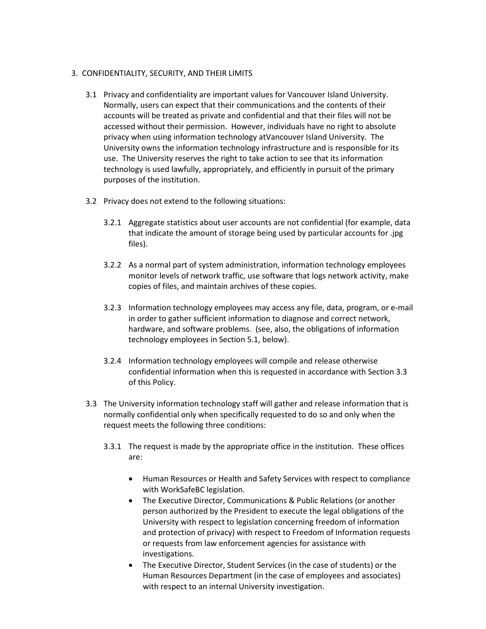## 3. CONFIDENTIALITY, SECURITY, AND THEIR LIMITS

- 3.1 Privacy and confidentiality are important values for Vancouver Island University. Normally, users can expect that their communications and the contents of their accounts will be treated as private and confidential and that their files will not be accessed without their permission. However, individuals have no right to absolute privacy when using information technology atVancouver Island University. The University owns the information technology infrastructure and is responsible for its use. The University reserves the right to take action to see that its information technology is used lawfully, appropriately, and efficiently in pursuit of the primary purposes of the institution.
- 3.2 Privacy does not extend to the following situations:
	- 3.2.1 Aggregate statistics about user accounts are not confidential (for example, data that indicate the amount of storage being used by particular accounts for .jpg files).
	- 3.2.2 As a normal part of system administration, information technology employees monitor levels of network traffic, use software that logs network activity, make copies of files, and maintain archives of these copies.
	- 3.2.3 Information technology employees may access any file, data, program, or e-mail in order to gather sufficient information to diagnose and correct network, hardware, and software problems. (see, also, the obligations of information technology employees in Section 5.1, below).
	- 3.2.4 Information technology employees will compile and release otherwise confidential information when this is requested in accordance with Section 3.3 of this Policy.
- 3.3 The University information technology staff will gather and release information that is normally confidential only when specifically requested to do so and only when the request meets the following three conditions:
	- 3.3.1 The request is made by the appropriate office in the institution. These offices are:
		- Human Resources or Health and Safety Services with respect to compliance with WorkSafeBC legislation.
		- The Executive Director, Communications & Public Relations (or another person authorized by the President to execute the legal obligations of the University with respect to legislation concerning freedom of information and protection of privacy) with respect to Freedom of Information requests or requests from law enforcement agencies for assistance with investigations.
		- The Executive Director, Student Services (in the case of students) or the Human Resources Department (in the case of employees and associates) with respect to an internal University investigation.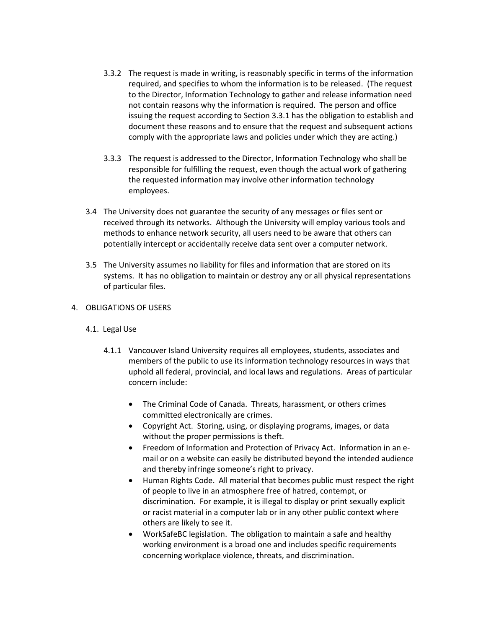- 3.3.2 The request is made in writing, is reasonably specific in terms of the information required, and specifies to whom the information is to be released. (The request to the Director, Information Technology to gather and release information need not contain reasons why the information is required. The person and office issuing the request according to Section 3.3.1 has the obligation to establish and document these reasons and to ensure that the request and subsequent actions comply with the appropriate laws and policies under which they are acting.)
- 3.3.3 The request is addressed to the Director, Information Technology who shall be responsible for fulfilling the request, even though the actual work of gathering the requested information may involve other information technology employees.
- 3.4 The University does not guarantee the security of any messages or files sent or received through its networks. Although the University will employ various tools and methods to enhance network security, all users need to be aware that others can potentially intercept or accidentally receive data sent over a computer network.
- 3.5 The University assumes no liability for files and information that are stored on its systems. It has no obligation to maintain or destroy any or all physical representations of particular files.

# 4. OBLIGATIONS OF USERS

# 4.1. Legal Use

- 4.1.1 Vancouver Island University requires all employees, students, associates and members of the public to use its information technology resources in ways that uphold all federal, provincial, and local laws and regulations. Areas of particular concern include:
	- The Criminal Code of Canada. Threats, harassment, or others crimes committed electronically are crimes.
	- Copyright Act. Storing, using, or displaying programs, images, or data without the proper permissions is theft.
	- Freedom of Information and Protection of Privacy Act. Information in an email or on a website can easily be distributed beyond the intended audience and thereby infringe someone's right to privacy.
	- Human Rights Code. All material that becomes public must respect the right of people to live in an atmosphere free of hatred, contempt, or discrimination. For example, it is illegal to display or print sexually explicit or racist material in a computer lab or in any other public context where others are likely to see it.
	- WorkSafeBC legislation. The obligation to maintain a safe and healthy working environment is a broad one and includes specific requirements concerning workplace violence, threats, and discrimination.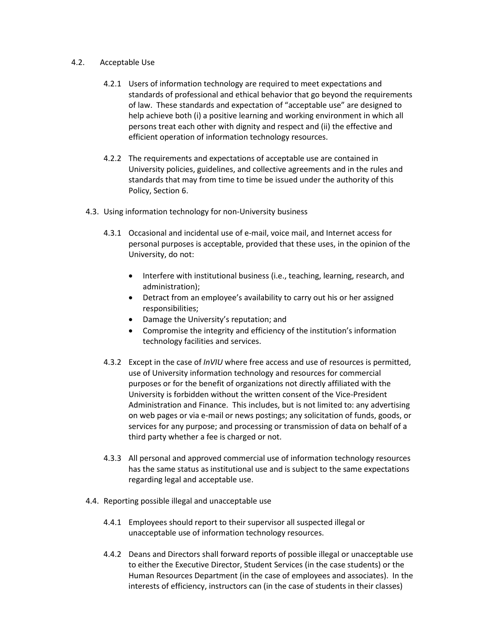#### 4.2. Acceptable Use

- 4.2.1 Users of information technology are required to meet expectations and standards of professional and ethical behavior that go beyond the requirements of law. These standards and expectation of "acceptable use" are designed to help achieve both (i) a positive learning and working environment in which all persons treat each other with dignity and respect and (ii) the effective and efficient operation of information technology resources.
- 4.2.2 The requirements and expectations of acceptable use are contained in University policies, guidelines, and collective agreements and in the rules and standards that may from time to time be issued under the authority of this Policy, Section 6.
- 4.3. Using information technology for non-University business
	- 4.3.1 Occasional and incidental use of e-mail, voice mail, and Internet access for personal purposes is acceptable, provided that these uses, in the opinion of the University, do not:
		- Interfere with institutional business (i.e., teaching, learning, research, and administration);
		- Detract from an employee's availability to carry out his or her assigned responsibilities;
		- Damage the University's reputation; and
		- Compromise the integrity and efficiency of the institution's information technology facilities and services.
	- 4.3.2 Except in the case of *InVIU* where free access and use of resources is permitted, use of University information technology and resources for commercial purposes or for the benefit of organizations not directly affiliated with the University is forbidden without the written consent of the Vice-President Administration and Finance. This includes, but is not limited to: any advertising on web pages or via e-mail or news postings; any solicitation of funds, goods, or services for any purpose; and processing or transmission of data on behalf of a third party whether a fee is charged or not.
	- 4.3.3 All personal and approved commercial use of information technology resources has the same status as institutional use and is subject to the same expectations regarding legal and acceptable use.
- 4.4. Reporting possible illegal and unacceptable use
	- 4.4.1 Employees should report to their supervisor all suspected illegal or unacceptable use of information technology resources.
	- 4.4.2 Deans and Directors shall forward reports of possible illegal or unacceptable use to either the Executive Director, Student Services (in the case students) or the Human Resources Department (in the case of employees and associates). In the interests of efficiency, instructors can (in the case of students in their classes)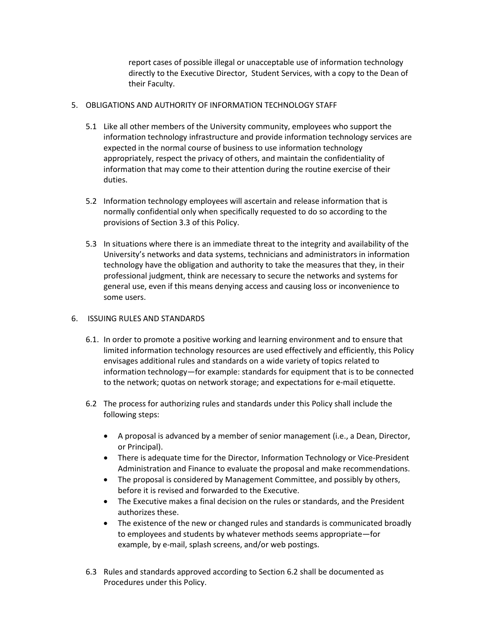report cases of possible illegal or unacceptable use of information technology directly to the Executive Director, Student Services, with a copy to the Dean of their Faculty.

#### 5. OBLIGATIONS AND AUTHORITY OF INFORMATION TECHNOLOGY STAFF

- 5.1 Like all other members of the University community, employees who support the information technology infrastructure and provide information technology services are expected in the normal course of business to use information technology appropriately, respect the privacy of others, and maintain the confidentiality of information that may come to their attention during the routine exercise of their duties.
- 5.2 Information technology employees will ascertain and release information that is normally confidential only when specifically requested to do so according to the provisions of Section 3.3 of this Policy.
- 5.3 In situations where there is an immediate threat to the integrity and availability of the University's networks and data systems, technicians and administrators in information technology have the obligation and authority to take the measures that they, in their professional judgment, think are necessary to secure the networks and systems for general use, even if this means denying access and causing loss or inconvenience to some users.

#### 6. ISSUING RULES AND STANDARDS

- 6.1. In order to promote a positive working and learning environment and to ensure that limited information technology resources are used effectively and efficiently, this Policy envisages additional rules and standards on a wide variety of topics related to information technology—for example: standards for equipment that is to be connected to the network; quotas on network storage; and expectations for e-mail etiquette.
- 6.2 The process for authorizing rules and standards under this Policy shall include the following steps:
	- A proposal is advanced by a member of senior management (i.e., a Dean, Director, or Principal).
	- There is adequate time for the Director, Information Technology or Vice-President Administration and Finance to evaluate the proposal and make recommendations.
	- The proposal is considered by Management Committee, and possibly by others, before it is revised and forwarded to the Executive.
	- The Executive makes a final decision on the rules or standards, and the President authorizes these.
	- The existence of the new or changed rules and standards is communicated broadly to employees and students by whatever methods seems appropriate—for example, by e-mail, splash screens, and/or web postings.
- 6.3 Rules and standards approved according to Section 6.2 shall be documented as Procedures under this Policy.